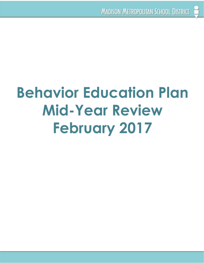# **Behavior Education Plan Mid-Year Review February 2017**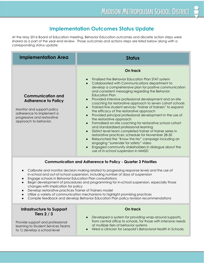#### **Implementation Outcomes Status Update**

 corresponding status update: At the May 2016 Board of Education meeting, Behavior Education outcomes and discrete action steps were shared as a part of the year-end review. Those outcomes and actions steps are listed below along with a

| <b>Implementation Area</b>                                                                                                                                                                                                                                                                                                                         | <b>Status</b>                                                                                                                                                                                                                                                                                                                                                                                                                                                                                                                                                                                                                                                                                                                                                                                                                                                                                                                                                                                                                                                                                                          |
|----------------------------------------------------------------------------------------------------------------------------------------------------------------------------------------------------------------------------------------------------------------------------------------------------------------------------------------------------|------------------------------------------------------------------------------------------------------------------------------------------------------------------------------------------------------------------------------------------------------------------------------------------------------------------------------------------------------------------------------------------------------------------------------------------------------------------------------------------------------------------------------------------------------------------------------------------------------------------------------------------------------------------------------------------------------------------------------------------------------------------------------------------------------------------------------------------------------------------------------------------------------------------------------------------------------------------------------------------------------------------------------------------------------------------------------------------------------------------------|
|                                                                                                                                                                                                                                                                                                                                                    | On track                                                                                                                                                                                                                                                                                                                                                                                                                                                                                                                                                                                                                                                                                                                                                                                                                                                                                                                                                                                                                                                                                                               |
| <b>Communication and</b><br><b>Adherence to Policy</b><br>Monitor and support policy<br>adherence to implement a<br>progressive and restorative<br>approach to behavior.                                                                                                                                                                           | Finalized the Behavior Education Plan STAT system<br>$\bullet$<br>Collaborated with Communications department to<br>$\bullet$<br>develop a comprehensive plan for positive communication<br>and consistent messaging regarding the Behavior<br><b>Education Plan</b><br>Provided intensive professional development and on-site<br>$\bullet$<br>coaching for restorative approach to seven cohort schools<br>Trained five student services "trainer of trainers" to expand<br>$\bullet$<br>the efficacy of the restorative approach<br>Provided principal professional development in the use of<br>$\bullet$<br>the restorative approach<br>Formalized on-site coaching for restorative school cohort<br>$\bullet$<br>and standardized professional learning<br>District level team completed trainer of trainer series in<br>$\bullet$<br>restorative practices; schedule for November 28-30<br>Relaunched the "Know the No" campaign including an<br>$\bullet$<br>engaging "surrender for safety" video<br>Engaged community stakeholders in dialogue about the<br>$\bullet$<br>use of in-school suspension in MMSD |
| <b>Communication and Adherence to Policy - Quarter 3 Priorities</b>                                                                                                                                                                                                                                                                                |                                                                                                                                                                                                                                                                                                                                                                                                                                                                                                                                                                                                                                                                                                                                                                                                                                                                                                                                                                                                                                                                                                                        |
| Calibrate and monitor decision making related to progressing response levels and the use of<br>$\bullet$<br>in-school and out-of-school suspension, including number of days of suspension<br>Engage schools in Behavior Education Plan consultations<br>Regis development of procedures and programming for in sobool supposion, canogially these |                                                                                                                                                                                                                                                                                                                                                                                                                                                                                                                                                                                                                                                                                                                                                                                                                                                                                                                                                                                                                                                                                                                        |

- changes with implication for policy Begin development of procedures and programming for in-school suspension, especially those
- Develop restorative practices Trainer of Trainers model
- Utilize a variety of communication mechanisms to highlight promising practices
- Compile feedback and develop Behavior Education Plan policy revision recommendations

## **Infrastructure to Support On track**

learning to Student Services Teams<br>to 1) develop a school level

- at multiple tiers of behavior systems **Tiers 2 / 3 a b** Developed a system for providing wrap-around supports, Provide support and professional from central office to schools, for those with intensive needs
- to 1) develop a school-level **•** Hired a clinician for Leopold's Behavioral Health in Schools;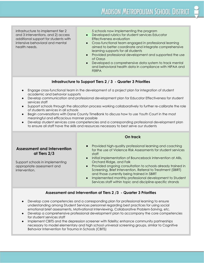additional support for students with

infrastructure to implement tier 2 5 schools now implementing the program

- **Effectiveness evaluation** and 3 interventions, and 2) access **• Developed rubrics for student services Educator**
- learning supports for all students intensive behavioral and mental **•** Cross-functional team engaged in professional learning health needs. **A** integrate comprehensive aimed to better coordinate and integrate comprehensive
	- Provided professional development and supported the use of Oasys
	- FERPA Developed a comprehensive data system to track mental and behavioral health data in compliance with HIPAA and

#### **Infrastructure to Support Tiers 2 / 3 - Quarter 3 Priorities**

- academic and behavior supports Engage cross-functional team in the development of a project plan for integration of student
- services staff ● Develop communication and professional development plan for Educator Effectiveness for student
- of students services in all schools ● Support schools through the allocation process working collaboratively to further re-calibrate the role
- meaningful and efficacious manner possible ● Begin conversations with Dane County TimeBank to discuss how to use Youth Court in the most
- to ensure all staff have the skills and resources necessary to best serve our students ● Develop student services core competencies and a corresponding professional development plan

#### **Assessment and Intervention at Tiers 2/3**

Support schools in implementing appropriate assessment and intervention.

#### **On track**

- staff Provided high-quality professional learning and coaching for the use of Violence Risk Assessments for student services
- Orchard Ridge, and Falk Initial implementation of Bounceback intervention at Allis,
- and those currently being trained in SBIRT Provided ongoing consultation to schools already trained in Screening, Brief Intervention, Referral to Treatment (SBIRT)
- Implemented monthly professional development to Student Services staff within topic and discipline-specific strands

#### **Assessment and Intervention at Tiers 2 /3 - Quarter 3 Priorities**

- emotional brief assessments, Motivational Interviewing, Collaborative Problem-Solving, etc. ● Develop core competencies and a corresponding plan for professional learning to ensure understanding among Student Services personnel regarding best practices for using social
- for student services staff ● Develop a comprehensive professional development plan to accompany the core competencies
- Behavior Intervention for Trauma in Schools (CBITS)Implement CBITS and the depression screener with fidelity; enhance community partnerships necessary to model elementary and high school universal screening groups, similar to Cognitive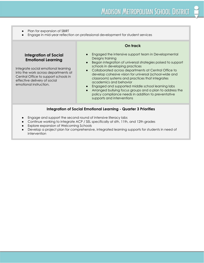- Plan for expansion of SBIRT
- Engage in mid-year reflection on professional development for student services

#### **Integration of Social Emotional Learning**

Integrate social emotional learning into the work across departments at Central Office to support schools in effective delivery of social emotional instruction.

#### **On track**

- Designs training Engaged the intensive support team in Developmental
- Began integration of universal strategies poised to support schools in developing practices
- Collaborated across departments at Central Office to develop cohesive vision for universal (school-wide and classroom) systems and practices that integrates academics and behavior
- Engaged and supported middle school learning labs
- supports and interventions Arranged bullying focus groups and a plan to address the policy compliance needs in addition to preventative

#### **Integration of Social Emotional Learning - Quarter 3 Priorities**

- Engage and support the second round of intensive literacy labs
- Continue working to integrate ACP / SEL specifically at 6th, 11th, and 12th grades
- Explore expansion of Welcoming Schools
- intervention● Develop a project plan for comprehensive, integrated learning supports for students in need of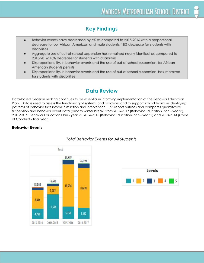### **Key Findings**

- Behavior events have decreased by 6% as compared to 2015-2016 with a proportional  $\bullet$ decrease for our African American and male students; 18% decrease for students with disabilities
- Aggregate use of out-of-school suspension has remained nearly identical as compared to 2015-2016: 18% decrease for students with disabilities
- Disproportionality, in behavior events and the use of out-of-school suspension, for African  $\bullet$ American students persists
- Disproportionality, in behavior events and the use of out-of school-suspension, has improved for students with disabilities

#### **Data Review**

 of Conduct - final year). Data-based decision making continues to be essential in informing implementation of the Behavior Education Plan. Data is used to assess the functioning of systems and practices and to support school teams in identifying patterns of behavior that inform instruction and intervention. This report outlines and compares quantitative suspension and behavior event data (prior to winter break) from 2016-2017 (Behavior Education Plan - year 3), 2015-2016 (Behavior Education Plan - year 2), 2014-2015 (Behavior Education Plan - year 1) and 2013-2014 (Code

#### **Behavior Events**



#### *Total Behavior Events for All Students*

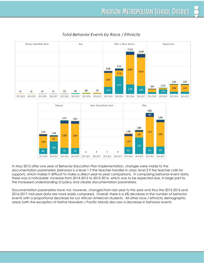

#### *Total Behavior Events by Race / Ethnicity*



 the increased understanding of policy and clearer documentation parameters. In May 2015 after one year of Behavior Education Plan implementation, changes were made to the documentation parameters (behavior is a level 1 if the teacher handles in class; level 2 if the teacher calls for support), which makes it difficult to make a direct year-to-year comparisons. In comparing behavior event data, there was a noticeable increase from 2014-2015 to 2015-2016, which was to be expected due, in large part to,

 areas (with the exception of Native Hawaiian / Pacific Island) also saw a decrease in behavior events.Documentation parameters have not, however, changed from last year to this year and thus the 2015-2016 and 2016-2017 mid-year data are more easily compared. Overall, there is a 6% decrease in the number of behavior events with a proportional decrease for our African American students. All other race / ethnicity demographic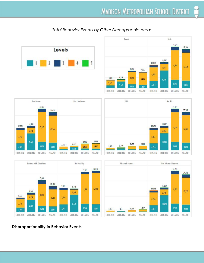#### *Total Behavior Events by Other Demographic Areas*













#### **Disproportionality in Behavior Events**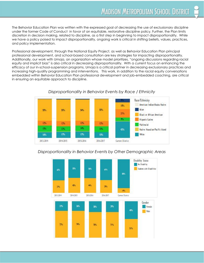and policy implementation. The Behavior Education Plan was written with the expressed goal of decreasing the use of exclusionary discipline under the former Code of Conduct in favor of an equitable, restorative discipline policy. Further, the Plan limits discretion in decision making, related to discipline, as a first step in beginning to impact disproportionality. While we have a policy poised to impact disproportionality, ongoing work is critical in shifting beliefs, values, practices,

 in ensuring an equitable approach to discipline.Professional development, through the National Equity Project, as well as Behavior Education Plan principal professional development, and school-based consultation are key strategies for impacting disproportionality. Additionally, our work with Umoja, an organization whose model prioritizes, "ongoing discussions regarding racial equity and implicit bias" is also critical in decreasing disproportionality. With a current focus on enhancing the efficacy of our in-school-suspension programs, Umoja is a critical partner in decreasing exclusionary practices and increasing high-quality programming and interventions. This work, in addition to the racial equity conversations embedded within Behavior Education Plan professional development and job-embedded coaching, are critical



#### *Disproportionality in Behavior Events by Race / Ethnicity*

#### *Disproportionality in Behavior Events by Other Demographic Areas*

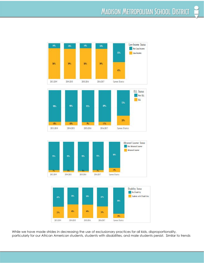







While we have made strides in decreasing the use of exclusionary practices for all kids, disproportionality, particularly for our African American students, students with disabilities, and male students persist. Similar to trends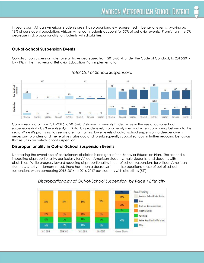decrease in disproportionality for students with disabilities. in year's past, African American students are still disproportionately represented in behavior events. Making up 18% of our student population, African American students account for 55% of behavior events. Promising is the 5%

#### **Out-of-School Suspension Events**

Out-of-school suspension rates overall have decreased from 2013-2014, under the Code of Conduct, to 2016-2017 by 41%, in the third year of Behavior Education Plan implementation.



#### *Total Out of School Suspensions*

 that result in an out-of-school suspension. Comparison data from 2015-2016 to 2016-2017 showed a very slight decrease in the use of out-of-school suspensions 4K-12 by 3 events (-.4%). Data, by grade level, is also nearly identical when comparing last year to this year. While it's promising to see we are maintaining lower levels of out-of-school suspension, a deeper dive is necessary to understand the relative status quo and to subsequently support schools in further reducing behaviors

#### **Disproportionality in Out-of-School Suspension Events**

 suspensions when comparing 2015-2016 to 2016-2017 our students with disabilities (5%).Decreasing the overall use of exclusionary discipline is one goal of the Behavior Education Plan. The second is impacting disproportionality, particularly for African American students, male students, and students with disabilities. While progress toward reducing disproportionality, in out-of-school suspensions for African American students, is not yet demonstrated, there has been a decrease in the disproportionate use of out of school



#### *Disproportionality of Out-of-School Suspension by Race / Ethnicity*